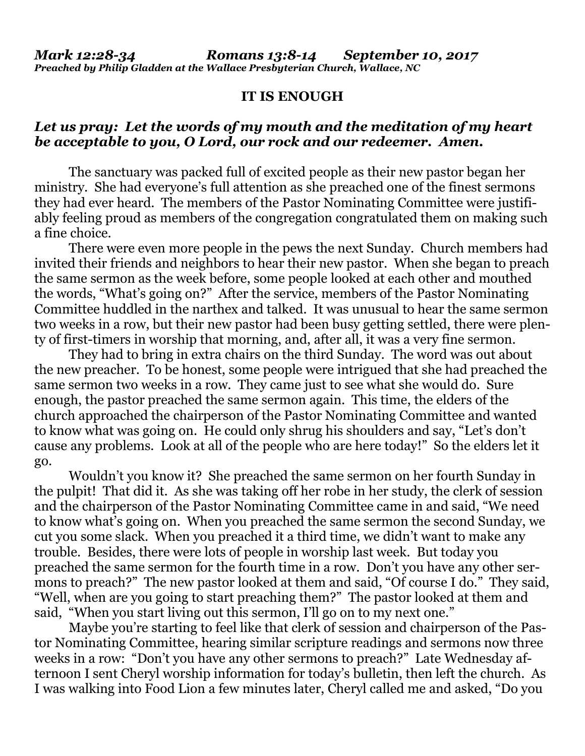## **IT IS ENOUGH**

## *Let us pray: Let the words of my mouth and the meditation of my heart be acceptable to you, O Lord, our rock and our redeemer. Amen.*

The sanctuary was packed full of excited people as their new pastor began her ministry. She had everyone's full attention as she preached one of the finest sermons they had ever heard. The members of the Pastor Nominating Committee were justifiably feeling proud as members of the congregation congratulated them on making such a fine choice.

There were even more people in the pews the next Sunday. Church members had invited their friends and neighbors to hear their new pastor. When she began to preach the same sermon as the week before, some people looked at each other and mouthed the words, "What's going on?" After the service, members of the Pastor Nominating Committee huddled in the narthex and talked. It was unusual to hear the same sermon two weeks in a row, but their new pastor had been busy getting settled, there were plenty of first-timers in worship that morning, and, after all, it was a very fine sermon.

They had to bring in extra chairs on the third Sunday. The word was out about the new preacher. To be honest, some people were intrigued that she had preached the same sermon two weeks in a row. They came just to see what she would do. Sure enough, the pastor preached the same sermon again. This time, the elders of the church approached the chairperson of the Pastor Nominating Committee and wanted to know what was going on. He could only shrug his shoulders and say, "Let's don't cause any problems. Look at all of the people who are here today!" So the elders let it go.

Wouldn't you know it? She preached the same sermon on her fourth Sunday in the pulpit! That did it. As she was taking off her robe in her study, the clerk of session and the chairperson of the Pastor Nominating Committee came in and said, "We need to know what's going on. When you preached the same sermon the second Sunday, we cut you some slack. When you preached it a third time, we didn't want to make any trouble. Besides, there were lots of people in worship last week. But today you preached the same sermon for the fourth time in a row. Don't you have any other sermons to preach?" The new pastor looked at them and said, "Of course I do." They said, "Well, when are you going to start preaching them?" The pastor looked at them and said, "When you start living out this sermon, I'll go on to my next one."

Maybe you're starting to feel like that clerk of session and chairperson of the Pastor Nominating Committee, hearing similar scripture readings and sermons now three weeks in a row: "Don't you have any other sermons to preach?" Late Wednesday afternoon I sent Cheryl worship information for today's bulletin, then left the church. As I was walking into Food Lion a few minutes later, Cheryl called me and asked, "Do you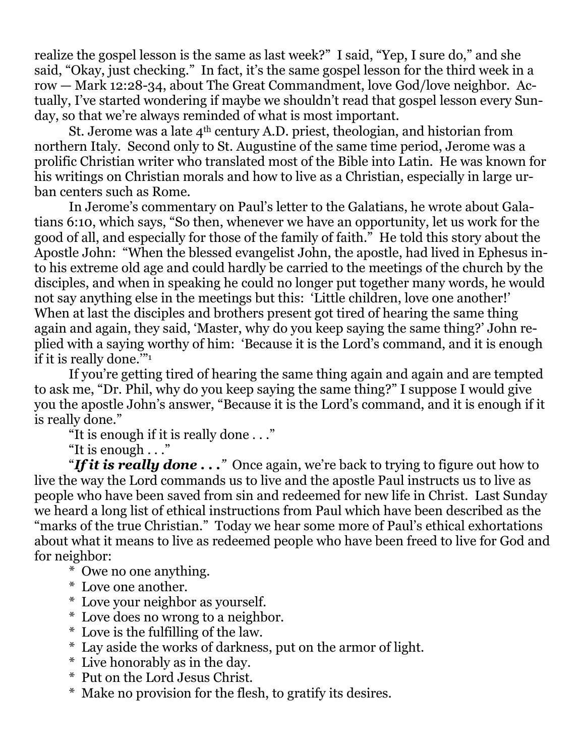realize the gospel lesson is the same as last week?" I said, "Yep, I sure do," and she said, "Okay, just checking." In fact, it's the same gospel lesson for the third week in a row — Mark 12:28-34, about The Great Commandment, love God/love neighbor. Actually, I've started wondering if maybe we shouldn't read that gospel lesson every Sunday, so that we're always reminded of what is most important.

St. Jerome was a late 4th century A.D. priest, theologian, and historian from northern Italy. Second only to St. Augustine of the same time period, Jerome was a prolific Christian writer who translated most of the Bible into Latin. He was known for his writings on Christian morals and how to live as a Christian, especially in large urban centers such as Rome.

In Jerome's commentary on Paul's letter to the Galatians, he wrote about Galatians 6:10, which says, "So then, whenever we have an opportunity, let us work for the good of all, and especially for those of the family of faith." He told this story about the Apostle John: "When the blessed evangelist John, the apostle, had lived in Ephesus into his extreme old age and could hardly be carried to the meetings of the church by the disciples, and when in speaking he could no longer put together many words, he would not say anything else in the meetings but this: 'Little children, love one another!' When at last the disciples and brothers present got tired of hearing the same thing again and again, they said, 'Master, why do you keep saying the same thing?' John replied with a saying worthy of him: 'Because it is the Lord's command, and it is enough if it is really done.'"<sup>1</sup>

If you're getting tired of hearing the same thing again and again and are tempted to ask me, "Dr. Phil, why do you keep saying the same thing?" I suppose I would give you the apostle John's answer, "Because it is the Lord's command, and it is enough if it is really done."

"It is enough if it is really done . . ."

"It is enough . . ."

"*If it is really done . . ."* Once again, we're back to trying to figure out how to live the way the Lord commands us to live and the apostle Paul instructs us to live as people who have been saved from sin and redeemed for new life in Christ. Last Sunday we heard a long list of ethical instructions from Paul which have been described as the "marks of the true Christian." Today we hear some more of Paul's ethical exhortations about what it means to live as redeemed people who have been freed to live for God and for neighbor:

- \* Owe no one anything.
- \* Love one another.
- \* Love your neighbor as yourself.
- \* Love does no wrong to a neighbor.
- \* Love is the fulfilling of the law.
- \* Lay aside the works of darkness, put on the armor of light.
- \* Live honorably as in the day.
- \* Put on the Lord Jesus Christ.
- \* Make no provision for the flesh, to gratify its desires.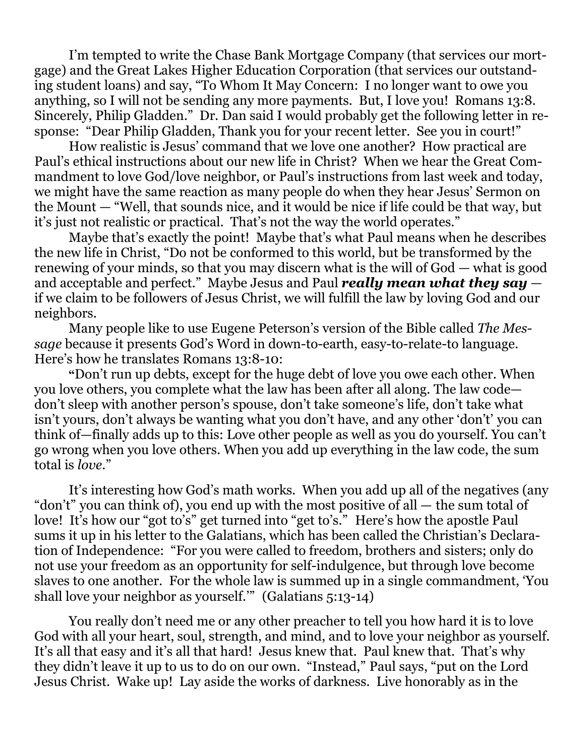I'm tempted to write the Chase Bank Mortgage Company (that services our mortgage) and the Great Lakes Higher Education Corporation (that services our outstanding student loans) and say, "To Whom It May Concern: I no longer want to owe you anything, so I will not be sending any more payments. But, I love you! Romans 13:8. Sincerely, Philip Gladden." Dr. Dan said I would probably get the following letter in response: "Dear Philip Gladden, Thank you for your recent letter. See you in court!"

How realistic is Jesus' command that we love one another? How practical are Paul's ethical instructions about our new life in Christ? When we hear the Great Commandment to love God/love neighbor, or Paul's instructions from last week and today, we might have the same reaction as many people do when they hear Jesus' Sermon on the Mount — "Well, that sounds nice, and it would be nice if life could be that way, but it's just not realistic or practical. That's not the way the world operates."

Maybe that's exactly the point! Maybe that's what Paul means when he describes the new life in Christ, "Do not be conformed to this world, but be transformed by the renewing of your minds, so that you may discern what is the will of God — what is good and acceptable and perfect." Maybe Jesus and Paul *really mean what they say* if we claim to be followers of Jesus Christ, we will fulfill the law by loving God and our neighbors.

Many people like to use Eugene Peterson's version of the Bible called *The Message* because it presents God's Word in down-to-earth, easy-to-relate-to language. Here's how he translates Romans 13:8-10:

**"**Don't run up debts, except for the huge debt of love you owe each other. When you love others, you complete what the law has been after all along. The law code don't sleep with another person's spouse, don't take someone's life, don't take what isn't yours, don't always be wanting what you don't have, and any other 'don't' you can think of—finally adds up to this: Love other people as well as you do yourself. You can't go wrong when you love others. When you add up everything in the law code, the sum total is *love*."

It's interesting how God's math works. When you add up all of the negatives (any "don't" you can think of), you end up with the most positive of all — the sum total of love! It's how our "got to's" get turned into "get to's." Here's how the apostle Paul sums it up in his letter to the Galatians, which has been called the Christian's Declaration of Independence: "For you were called to freedom, brothers and sisters; only do not use your freedom as an opportunity for self-indulgence, but through love become slaves to one another. For the whole law is summed up in a single commandment, 'You shall love your neighbor as yourself.'" (Galatians 5:13-14)

You really don't need me or any other preacher to tell you how hard it is to love God with all your heart, soul, strength, and mind, and to love your neighbor as yourself. It's all that easy and it's all that hard! Jesus knew that. Paul knew that. That's why they didn't leave it up to us to do on our own. "Instead," Paul says, "put on the Lord Jesus Christ. Wake up! Lay aside the works of darkness. Live honorably as in the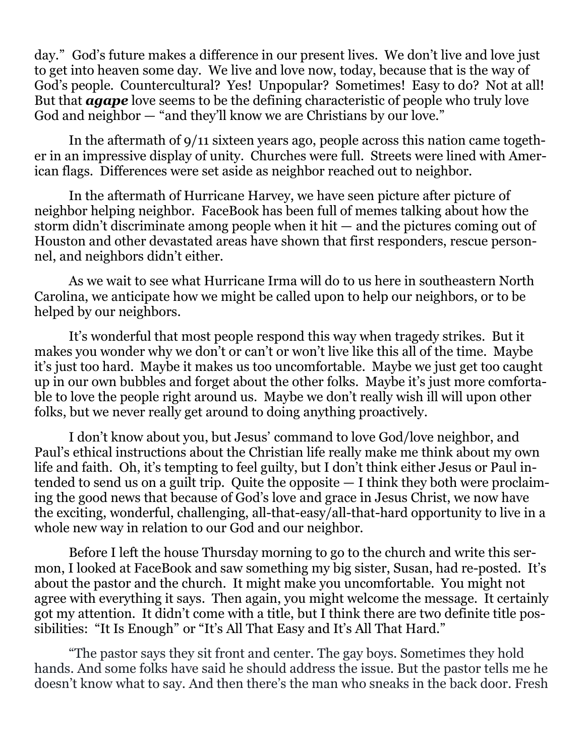day." God's future makes a difference in our present lives. We don't live and love just to get into heaven some day. We live and love now, today, because that is the way of God's people. Countercultural? Yes! Unpopular? Sometimes! Easy to do? Not at all! But that *agape* love seems to be the defining characteristic of people who truly love God and neighbor — "and they'll know we are Christians by our love."

In the aftermath of 9/11 sixteen years ago, people across this nation came together in an impressive display of unity. Churches were full. Streets were lined with American flags. Differences were set aside as neighbor reached out to neighbor.

In the aftermath of Hurricane Harvey, we have seen picture after picture of neighbor helping neighbor. FaceBook has been full of memes talking about how the storm didn't discriminate among people when it hit — and the pictures coming out of Houston and other devastated areas have shown that first responders, rescue personnel, and neighbors didn't either.

As we wait to see what Hurricane Irma will do to us here in southeastern North Carolina, we anticipate how we might be called upon to help our neighbors, or to be helped by our neighbors.

It's wonderful that most people respond this way when tragedy strikes. But it makes you wonder why we don't or can't or won't live like this all of the time. Maybe it's just too hard. Maybe it makes us too uncomfortable. Maybe we just get too caught up in our own bubbles and forget about the other folks. Maybe it's just more comfortable to love the people right around us. Maybe we don't really wish ill will upon other folks, but we never really get around to doing anything proactively.

I don't know about you, but Jesus' command to love God/love neighbor, and Paul's ethical instructions about the Christian life really make me think about my own life and faith. Oh, it's tempting to feel guilty, but I don't think either Jesus or Paul intended to send us on a guilt trip. Quite the opposite — I think they both were proclaiming the good news that because of God's love and grace in Jesus Christ, we now have the exciting, wonderful, challenging, all-that-easy/all-that-hard opportunity to live in a whole new way in relation to our God and our neighbor.

Before I left the house Thursday morning to go to the church and write this sermon, I looked at FaceBook and saw something my big sister, Susan, had re-posted. It's about the pastor and the church. It might make you uncomfortable. You might not agree with everything it says. Then again, you might welcome the message. It certainly got my attention. It didn't come with a title, but I think there are two definite title possibilities: "It Is Enough" or "It's All That Easy and It's All That Hard."

"The pastor says they sit front and center. The gay boys. Sometimes they hold hands. And some folks have said he should address the issue. But the pastor tells me he doesn't know what to say. And then there's the man who sneaks in the back door. Fresh